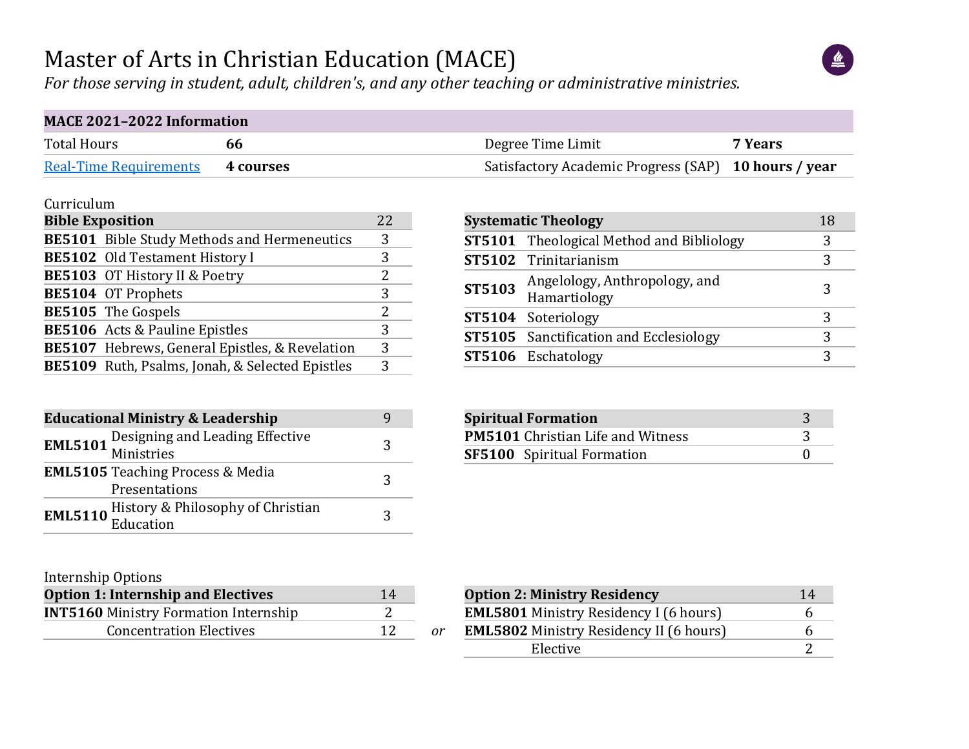#### Master of Arts in Christian Education (MACE)

*For those serving in student, adult, children's, and any other teaching or administrative ministries.*

| <b>MACE 2021-2022 Information</b> |           |                                                      |         |  |  |  |  |  |  |  |
|-----------------------------------|-----------|------------------------------------------------------|---------|--|--|--|--|--|--|--|
| <b>Total Hours</b>                | hh        | Degree Time Limit                                    | 7 Years |  |  |  |  |  |  |  |
| <b>Real-Time Requirements</b>     | 4 courses | Satisfactory Academic Progress (SAP) 10 hours / year |         |  |  |  |  |  |  |  |

#### Curriculum

| <b>Bible Exposition</b> |                                                 | 2.2. |
|-------------------------|-------------------------------------------------|------|
|                         | BE5101 Bible Study Methods and Hermeneutics     | 3    |
|                         | <b>BE5102</b> Old Testament History I           | 3    |
|                         | <b>BE5103</b> OT History II & Poetry            | 2    |
|                         | BE5104 OT Prophets                              | 3    |
|                         | BE5105 The Gospels                              | 2.   |
|                         | <b>BE5106</b> Acts & Pauline Epistles           | 3    |
|                         | BE5107 Hebrews, General Epistles, & Revelation  | 3    |
|                         | BE5109 Ruth, Psalms, Jonah, & Selected Epistles | 3    |

| <b>Educational Ministry &amp; Leadership</b> |                                                               |   |  |  |  |  |  |  |
|----------------------------------------------|---------------------------------------------------------------|---|--|--|--|--|--|--|
|                                              | <b>EML5101</b> Designing and Leading Effective<br>Ministries  | 3 |  |  |  |  |  |  |
|                                              | <b>EML5105</b> Teaching Process & Media<br>Presentations      | 2 |  |  |  |  |  |  |
|                                              | <b>EML5110</b> History & Philosophy of Christian<br>Education | 3 |  |  |  |  |  |  |

#### Internship Options

| <b>Option 1: Internship and Electives</b>    | 14 |    |
|----------------------------------------------|----|----|
| <b>INT5160 Ministry Formation Internship</b> |    |    |
| <b>Concentration Electives</b>               |    | or |

|        | <b>Systematic Theology</b>                      | 18 |
|--------|-------------------------------------------------|----|
|        | <b>ST5101</b> Theological Method and Bibliology | 3  |
|        | ST5102 Trinitarianism                           |    |
| ST5103 | Angelology, Anthropology, and<br>Hamartiology   | 3  |
|        | ST5104 Soteriology                              |    |
|        | <b>ST5105</b> Sanctification and Ecclesiology   | 3  |
|        | ST5106 Eschatology                              | 3  |

| <b>Spiritual Formation</b>               |  |
|------------------------------------------|--|
| <b>PM5101</b> Christian Life and Witness |  |
| <b>SF5100</b> Spiritual Formation        |  |

| <b>Option 2: Ministry Residency</b>            | 14 |
|------------------------------------------------|----|
| <b>EML5801</b> Ministry Residency I (6 hours)  | h  |
| <b>EML5802</b> Ministry Residency II (6 hours) | h  |
| Elective                                       |    |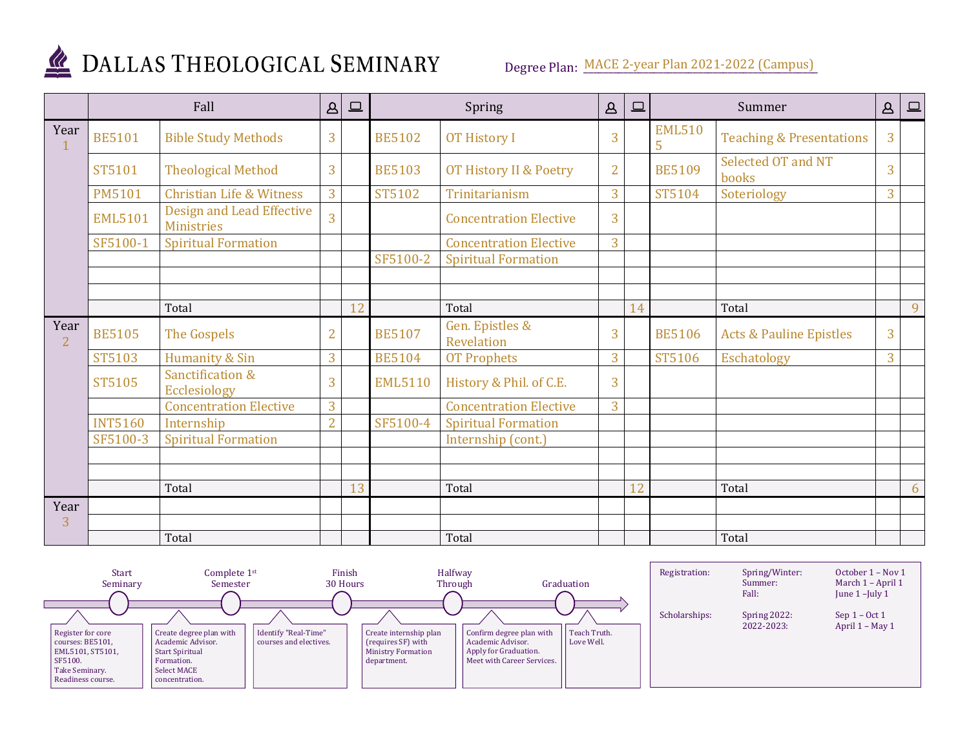

# DALLAS THEOLOGICAL SEMINARY

Degree Plan: MACE 2-year Plan 2021-2022 (Campus)

|                        |                | Fall                                                  | $\Delta$       | $\boxed{\square}$ | Spring         |                                   | $\Delta$       | 므  |                    | Summer                              | $\Delta$ | $\Box$ |
|------------------------|----------------|-------------------------------------------------------|----------------|-------------------|----------------|-----------------------------------|----------------|----|--------------------|-------------------------------------|----------|--------|
| Year                   | <b>BE5101</b>  | <b>Bible Study Methods</b>                            | 3              |                   | <b>BE5102</b>  | <b>OT History I</b>               | 3              |    | <b>EML510</b><br>5 | <b>Teaching &amp; Presentations</b> | 3        |        |
|                        | <b>ST5101</b>  | <b>Theological Method</b>                             | 3              |                   | <b>BE5103</b>  | <b>OT History II &amp; Poetry</b> | $\overline{2}$ |    | <b>BE5109</b>      | Selected OT and NT<br>books         | 3        |        |
|                        | <b>PM5101</b>  | <b>Christian Life &amp; Witness</b>                   | 3              |                   | ST5102         | Trinitarianism                    | 3              |    | ST5104             | Soteriology                         | 3        |        |
|                        | <b>EML5101</b> | <b>Design and Lead Effective</b><br><b>Ministries</b> | 3              |                   |                | <b>Concentration Elective</b>     | $\overline{3}$ |    |                    |                                     |          |        |
|                        | SF5100-1       | <b>Spiritual Formation</b>                            |                |                   |                | <b>Concentration Elective</b>     | 3              |    |                    |                                     |          |        |
|                        |                |                                                       |                |                   | SF5100-2       | <b>Spiritual Formation</b>        |                |    |                    |                                     |          |        |
|                        |                |                                                       |                |                   |                |                                   |                |    |                    |                                     |          |        |
|                        |                |                                                       |                |                   |                |                                   |                |    |                    |                                     |          |        |
|                        |                | Total                                                 |                | 12                |                | Total                             |                | 14 |                    | Total                               |          | 9      |
| Year<br>$\overline{2}$ | <b>BE5105</b>  | The Gospels                                           | $\overline{2}$ |                   | <b>BE5107</b>  | Gen. Epistles &<br>Revelation     | 3              |    | <b>BE5106</b>      | <b>Acts &amp; Pauline Epistles</b>  | 3        |        |
|                        | ST5103         | Humanity & Sin                                        | 3              |                   | <b>BE5104</b>  | <b>OT Prophets</b>                | 3              |    | ST5106             | Eschatology                         | 3        |        |
|                        | <b>ST5105</b>  | Sanctification &<br>Ecclesiology                      | 3              |                   | <b>EML5110</b> | History & Phil. of C.E.           | $\overline{3}$ |    |                    |                                     |          |        |
|                        |                | <b>Concentration Elective</b>                         | 3              |                   |                | <b>Concentration Elective</b>     | 3              |    |                    |                                     |          |        |
|                        | <b>INT5160</b> | Internship                                            | $\overline{2}$ |                   | SF5100-4       | <b>Spiritual Formation</b>        |                |    |                    |                                     |          |        |
|                        | SF5100-3       | <b>Spiritual Formation</b>                            |                |                   |                | Internship (cont.)                |                |    |                    |                                     |          |        |
|                        |                |                                                       |                |                   |                |                                   |                |    |                    |                                     |          |        |
|                        |                |                                                       |                |                   |                |                                   |                |    |                    |                                     |          |        |
|                        |                | Total                                                 |                | 13                |                | Total                             |                | 12 |                    | Total                               |          | 6      |
| Year                   |                |                                                       |                |                   |                |                                   |                |    |                    |                                     |          |        |
| 3                      |                |                                                       |                |                   |                |                                   |                |    |                    |                                     |          |        |
|                        |                | Total                                                 |                |                   |                | Total                             |                |    |                    | Total                               |          |        |

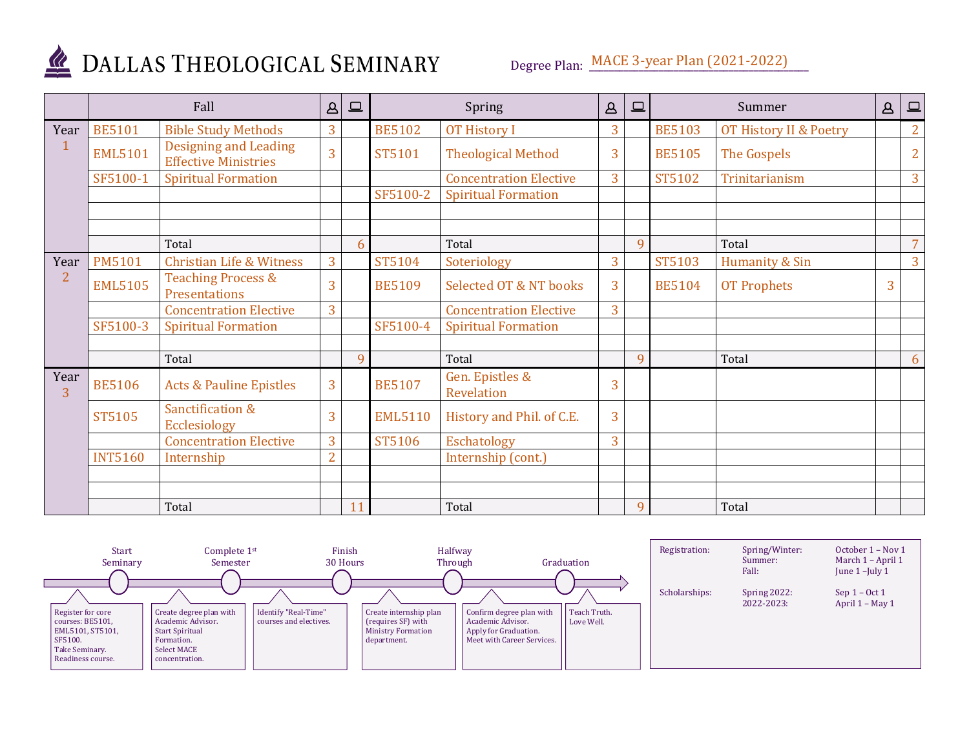

# DALLAS THEOLOGICAL SEMINARY

Degree Plan: MACE 3-year Plan (2021-2022)

|                        |                | Fall                                                        | $\Delta$       | $\Box$ |                | Spring                            | $\Delta$ | $\boxed{\square}$ |               | Summer                 | $\Delta$ | $\square$      |
|------------------------|----------------|-------------------------------------------------------------|----------------|--------|----------------|-----------------------------------|----------|-------------------|---------------|------------------------|----------|----------------|
| Year                   | <b>BE5101</b>  | <b>Bible Study Methods</b>                                  | 3              |        | <b>BE5102</b>  | <b>OT History I</b>               | 3        |                   | <b>BE5103</b> | OT History II & Poetry |          | $\overline{2}$ |
|                        | <b>EML5101</b> | <b>Designing and Leading</b><br><b>Effective Ministries</b> | 3              |        | ST5101         | <b>Theological Method</b>         | 3        |                   | <b>BE5105</b> | The Gospels            |          | $\overline{2}$ |
|                        | SF5100-1       | <b>Spiritual Formation</b>                                  |                |        |                | <b>Concentration Elective</b>     | 3        |                   | ST5102        | Trinitarianism         |          | $\overline{3}$ |
|                        |                |                                                             |                |        | SF5100-2       | <b>Spiritual Formation</b>        |          |                   |               |                        |          |                |
|                        |                | Total                                                       |                | 6      |                | Total                             |          | 9                 |               | Total                  |          | $\overline{7}$ |
| Year                   | <b>PM5101</b>  | <b>Christian Life &amp; Witness</b>                         | 3              |        | ST5104         | Soteriology                       | 3        |                   | ST5103        | Humanity & Sin         |          | $\overline{3}$ |
| $\overline{2}$         | <b>EML5105</b> | <b>Teaching Process &amp;</b><br>Presentations              | 3              |        | <b>BE5109</b>  | <b>Selected OT &amp; NT books</b> | 3        |                   | <b>BE5104</b> | <b>OT Prophets</b>     | 3        |                |
|                        |                | <b>Concentration Elective</b>                               | 3              |        |                | <b>Concentration Elective</b>     | 3        |                   |               |                        |          |                |
|                        | SF5100-3       | <b>Spiritual Formation</b>                                  |                |        | SF5100-4       | <b>Spiritual Formation</b>        |          |                   |               |                        |          |                |
|                        |                | Total                                                       |                | 9      |                | Total                             |          | $\mathbf{q}$      |               | Total                  |          | 6              |
| Year<br>$\overline{3}$ | <b>BE5106</b>  | <b>Acts &amp; Pauline Epistles</b>                          | 3              |        | <b>BE5107</b>  | Gen. Epistles &<br>Revelation     | 3        |                   |               |                        |          |                |
|                        | <b>ST5105</b>  | Sanctification &<br><b>Ecclesiology</b>                     | 3              |        | <b>EML5110</b> | History and Phil. of C.E.         | 3        |                   |               |                        |          |                |
|                        |                | <b>Concentration Elective</b>                               | 3              |        | ST5106         | Eschatology                       | 3        |                   |               |                        |          |                |
|                        | <b>INT5160</b> | Internship                                                  | $\overline{2}$ |        |                | Internship (cont.)                |          |                   |               |                        |          |                |
|                        |                |                                                             |                |        |                |                                   |          |                   |               |                        |          |                |
|                        |                |                                                             |                |        |                |                                   |          |                   |               |                        |          |                |
|                        |                | Total                                                       |                | 11     |                | Total                             |          | $\Omega$          |               | Total                  |          |                |

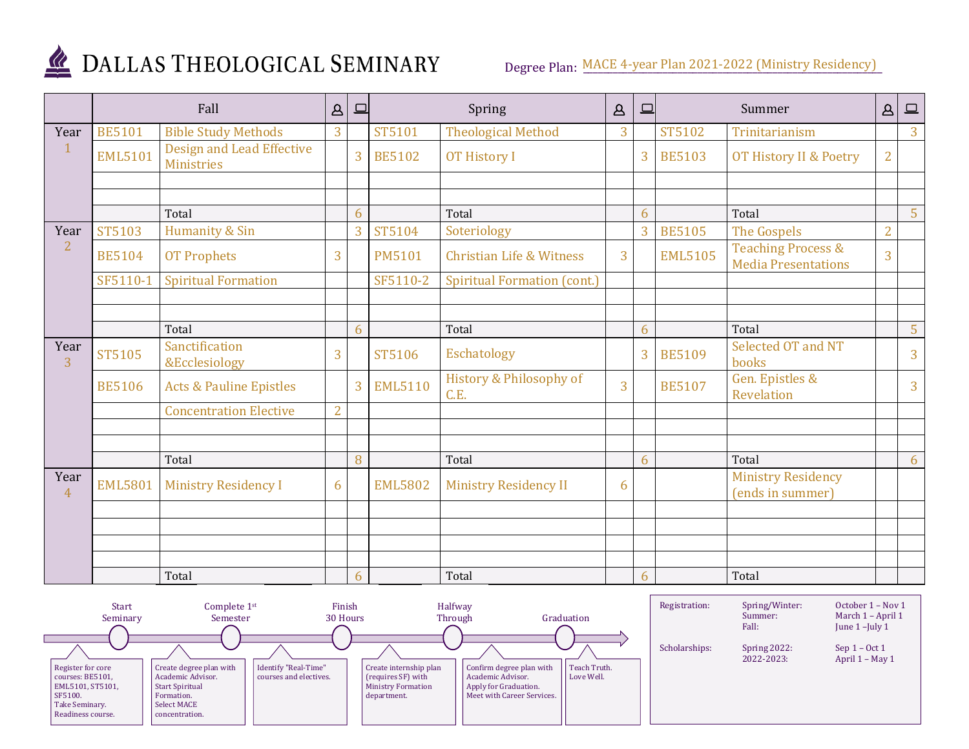

### DALLAS THEOLOGICAL SEMINARY

Degree Plan: MACE 4-year Plan 2021-2022 (Ministry Residency)

|                        | Fall           |                                                       | $\Delta$       | $\qquad \qquad \Box$ | Spring         |                                     | $\Delta$       | $\Box$         |                | Summer                                                      | $\Delta$       | $\boxed{\square}$ |
|------------------------|----------------|-------------------------------------------------------|----------------|----------------------|----------------|-------------------------------------|----------------|----------------|----------------|-------------------------------------------------------------|----------------|-------------------|
| Year                   | <b>BE5101</b>  | <b>Bible Study Methods</b>                            | 3              |                      | ST5101         | <b>Theological Method</b>           | 3              |                | ST5102         | Trinitarianism                                              |                | 3 <sup>1</sup>    |
|                        | <b>EML5101</b> | <b>Design and Lead Effective</b><br><b>Ministries</b> |                | 3                    | <b>BE5102</b>  | <b>OT History I</b>                 |                | 3 <sup>1</sup> | <b>BE5103</b>  | OT History II & Poetry                                      | $\overline{2}$ |                   |
|                        |                |                                                       |                |                      |                |                                     |                |                |                |                                                             |                |                   |
|                        |                |                                                       |                |                      |                |                                     |                |                |                |                                                             |                |                   |
|                        |                | Total                                                 |                | 6                    |                | Total                               |                | 6              |                | Total                                                       |                | 5 <sup>1</sup>    |
| Year                   | ST5103         | Humanity & Sin                                        |                | 3                    | ST5104         | Soteriology                         |                | 3 <sup>1</sup> | <b>BE5105</b>  | The Gospels                                                 | $\overline{2}$ |                   |
| $\overline{2}$         | <b>BE5104</b>  | <b>OT Prophets</b>                                    | 3              |                      | <b>PM5101</b>  | <b>Christian Life &amp; Witness</b> | $\overline{3}$ |                | <b>EML5105</b> | <b>Teaching Process &amp;</b><br><b>Media Presentations</b> | $\overline{3}$ |                   |
|                        | SF5110-1       | <b>Spiritual Formation</b>                            |                |                      | SF5110-2       | <b>Spiritual Formation (cont.)</b>  |                |                |                |                                                             |                |                   |
|                        |                |                                                       |                |                      |                |                                     |                |                |                |                                                             |                |                   |
|                        |                |                                                       |                |                      |                |                                     |                |                |                |                                                             |                |                   |
|                        |                | Total                                                 |                | 6                    |                | Total                               |                | 6              |                | Total                                                       |                | 5                 |
| Year<br>$\overline{3}$ | <b>ST5105</b>  | Sanctification<br>&Ecclesiology                       | 3              |                      | ST5106         | Eschatology                         |                | $\overline{3}$ | <b>BE5109</b>  | Selected OT and NT<br>books                                 |                | $\overline{3}$    |
|                        | <b>BE5106</b>  | <b>Acts &amp; Pauline Epistles</b>                    |                | 3                    | <b>EML5110</b> | History & Philosophy of<br>C.E.     | $\overline{3}$ |                | <b>BE5107</b>  | Gen. Epistles &<br>Revelation                               |                | 3                 |
|                        |                | <b>Concentration Elective</b>                         | $\overline{2}$ |                      |                |                                     |                |                |                |                                                             |                |                   |
|                        |                |                                                       |                |                      |                |                                     |                |                |                |                                                             |                |                   |
|                        |                |                                                       |                |                      |                |                                     |                |                |                |                                                             |                |                   |
|                        |                | Total                                                 |                | 8                    |                | Total                               |                | 6              |                | Total                                                       |                | 6                 |
| Year<br>$\overline{4}$ | <b>EML5801</b> | <b>Ministry Residency I</b>                           | 6              |                      | <b>EML5802</b> | Ministry Residency II               | 6              |                |                | <b>Ministry Residency</b><br>(ends in summer)               |                |                   |
|                        |                |                                                       |                |                      |                |                                     |                |                |                |                                                             |                |                   |
|                        |                |                                                       |                |                      |                |                                     |                |                |                |                                                             |                |                   |
|                        |                |                                                       |                |                      |                |                                     |                |                |                |                                                             |                |                   |
|                        |                |                                                       |                |                      |                |                                     |                |                |                |                                                             |                |                   |
|                        |                | Total                                                 |                | 6                    |                | Total                               |                | 6              |                | Total                                                       |                |                   |